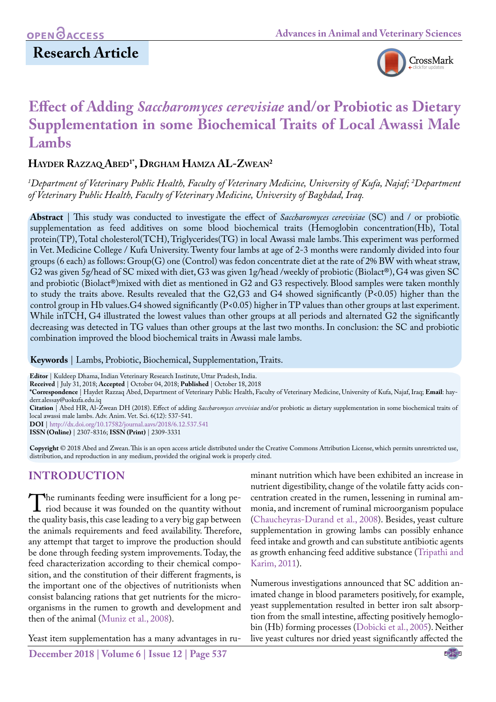# **Research Article**



# **Effect of Adding** *Saccharomyces cerevisiae* **and/or Probiotic as Dietary Supplementation in some Biochemical Traits of Local Awassi Male Lambs**

### **Hayder Razzaq Abed1\*, Drgham Hamza AL-Zwean2**

*1 Department of Veterinary Public Health, Faculty of Veterinary Medicine, University of Kufa, Najaf; 2 Department of Veterinary Public Health, Faculty of Veterinary Medicine, University of Baghdad, Iraq.*

**Abstract** | This study was conducted to investigate the effect of *Saccharomyces cerevisiae* (SC) and / or probiotic supplementation as feed additives on some blood biochemical traits (Hemoglobin concentration(Hb), Total protein(TP), Total cholesterol(TCH), Triglycerides(TG) in local Awassi male lambs. This experiment was performed in Vet. Medicine College / Kufa University. Twenty four lambs at age of 2-3 months were randomly divided into four groups (6 each) as follows: Group(G) one (Control) was fedon concentrate diet at the rate of 2% BW with wheat straw, G2 was given 5g/head of SC mixed with diet, G3 was given 1g/head /weekly of probiotic (Biolact®), G4 was given SC and probiotic (Biolact®)mixed with diet as mentioned in G2 and G3 respectively. Blood samples were taken monthly to study the traits above. Results revealed that the G2,G3 and G4 showed significantly (P<0.05) higher than the control group in Hb values.G4 showed significantly (P<0.05) higher in TP values than other groups at last experiment. While inTCH, G4 illustrated the lowest values than other groups at all periods and alternated G2 the significantly decreasing was detected in TG values than other groups at the last two months. In conclusion: the SC and probiotic combination improved the blood biochemical traits in Awassi male lambs.

**Keywords** | Lambs, Probiotic, Biochemical, Supplementation, Traits.

**Editor** | Kuldeep Dhama, Indian Veterinary Research Institute, Uttar Pradesh, India.

**Received** | July 31, 2018; **Accepted** | October 04, 2018; **Published** | October 18, 2018

**\*Correspondence** | Haydet Razzaq Abed, Department of Veterinary Public Health, Faculty of Veterinary Medicine, University of Kufa, Najaf, Iraq; **Email**: hayderr.alessay@uokufa.edu.iq

**Citation** | Abed HR, Al-Zwean DH (2018). Effect of adding *Saccharomyces cerevisiae* and/or probiotic as dietary supplementation in some biochemical traits of local awassi male lambs. Adv. Anim. Vet. Sci. 6(12): 537-541.

**DOI** | [http://dx.doi.org/10.17582/journal.aavs/2018/6.12](http://dx.doi.org/10.17582/journal.aavs/2018/6.12.537.541).537.541

**ISSN (Online)** | 2307-8316; **ISSN (Print)** | 2309-3331

**Copyright** © 2018 Abed and Zwean. This is an open access article distributed under the Creative Commons Attribution License, which permits unrestricted use, distribution, and reproduction in any medium, provided the original work is properly cited.

# **Introduction**

The ruminants feeding were insufficient for a long period because it was founded on the quantity without the quality basis, this case leading to a very big gan between the quality basis, this case leading to a very big gap between the animals requirements and feed availability. Therefore, any attempt that target to improve the production should be done through feeding system improvements. Today, the feed characterization according to their chemical composition, and the constitution of their different fragments, is the important one of the objectives of nutritionists when consist balancing rations that get nutrients for the microorganisms in the rumen to growth and development and then of the animal ([Muniz et al., 2008](#page-4-0)).

Yeast item supplementation has a many advantages in ru-

**December 2018 | Volume 6 | Issue 12 | Page 537**

minant nutrition which have been exhibited an increase in nutrient digestibility, change of the volatile fatty acids concentration created in the rumen, lessening in ruminal ammonia, and increment of ruminal microorganism populace [\(Chaucheyras-Durand et al., 2008\)](#page-3-0). Besides, yeast culture supplementation in growing lambs can possibly enhance feed intake and growth and can substitute antibiotic agents as growth enhancing feed additive substance [\(Tripathi and](#page-4-1) [Karim, 2011\)](#page-4-1).

Numerous investigations announced that SC addition animated change in blood parameters positively, for example, yeast supplementation resulted in better iron salt absorption from the small intestine, affecting positively hemoglobin (Hb) forming processes (Dobicki et al., 2005). Neither live yeast cultures nor dried yeast significantly affected the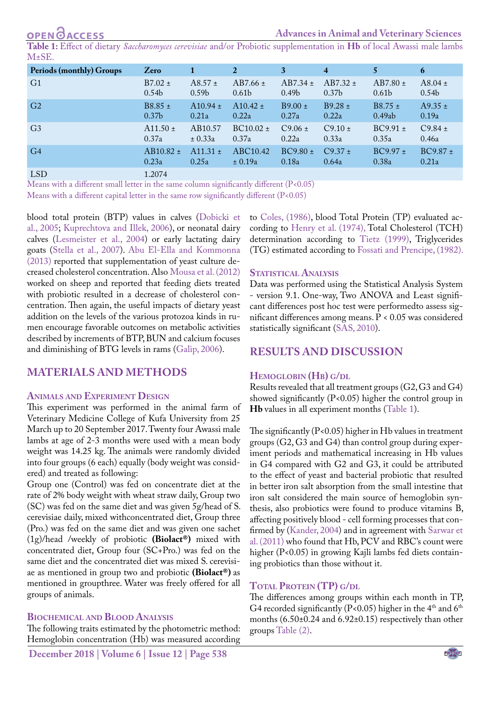**OPENOACCESS** 

**Advances in Animal and Veterinary Sciences**

<span id="page-1-0"></span>**Table 1:** Effect of dietary *Saccharomyces cerevisiae* and/or Probiotic supplementation in **Hb** of local Awassi male lambs  $M+SE$ .

| <b>Periods (monthly) Groups</b> | Zero              | 1                   | $\overline{2}$    | 3                 | $\overline{\mathbf{4}}$ | 5                 | 6                 |
|---------------------------------|-------------------|---------------------|-------------------|-------------------|-------------------------|-------------------|-------------------|
| G <sub>1</sub>                  | $B7.02 \pm$       | $A8.57 \pm$         | $AB7.66 \pm$      | $AB7.34 \pm$      | $AB7.32 \pm$            | $AB7.80 \pm$      | $A8.04 \pm$       |
|                                 | 0.54 <sub>b</sub> | 0.59 <sub>b</sub>   | 0.61 <sub>b</sub> | 0.49 <sub>b</sub> | 0.37 <sub>b</sub>       | 0.61 <sub>b</sub> | 0.54 <sub>b</sub> |
| G <sub>2</sub>                  | $B8.85 \pm$       | $A10.94 \pm$        | $A10.42 \pm$      | $B9.00 \pm$       | $B9.28 \pm$             | $B8.75 \pm$       | $A9.35 \pm$       |
|                                 | 0.37 <sub>b</sub> | 0.21a               | 0.22a             | 0.27a             | 0.22a                   | 0.49ab            | 0.19a             |
| G <sub>3</sub>                  | $A11.50 \pm$      | AB <sub>10.57</sub> | $BC10.02 \pm$     | $C9.06 \pm$       | $C9.10 \pm$             | $BC9.91 \pm$      | $C9.84 \pm$       |
|                                 | 0.37a             | ± 0.33a             | 0.37a             | 0.22a             | 0.33a                   | 0.35a             | 0.46a             |
| G <sub>4</sub>                  | $AB10.82 \pm$     | $A11.31 \pm$        | ABC10.42          | $BC9.80 \pm$      | $C9.37 \pm$             | $BC9.97 \pm$      | $BC9.87 \pm$      |
|                                 | 0.23a             | 0.25a               | ± 0.19a           | 0.18a             | 0.64a                   | 0.38a             | 0.21a             |
| <b>LSD</b>                      | 1.2074            |                     |                   |                   |                         |                   |                   |

Means with a different small letter in the same column significantly different (P<0.05)

Means with a different capital letter in the same row significantly different (P<0.05)

blood total protein (BTP) values in calves (Dobicki et al., 2005[; Kuprechtova and Illek, 2006](#page-4-2)), or neonatal dairy calves ([Lesmeister et al., 2004\)](#page-4-3) or early lactating dairy goats (Stella et al., 2007). [Abu El-Ella and Kommonna](#page-3-1) [\(2013\)](#page-3-1) reported that supplementation of yeast culture decreased cholesterol concentration. Also [Mousa et al. \(2012\)](#page-4-4) worked on sheep and reported that feeding diets treated with probiotic resulted in a decrease of cholesterol concentration. Then again, the useful impacts of dietary yeast addition on the levels of the various protozoa kinds in rumen encourage favorable outcomes on metabolic activities described by increments of BTP, BUN and calcium focuses and diminishing of BTG levels in rams ([Galip, 2006](#page-3-2)).

### **Materials and methods**

#### **Animals and Experiment Design**

This experiment was performed in the animal farm of Veterinary Medicine College of Kufa University from 25 March up to 20 September 2017. Twenty four Awassi male lambs at age of 2-3 months were used with a mean body weight was 14.25 kg. The animals were randomly divided into four groups (6 each) equally (body weight was considered) and treated as following:

Group one (Control) was fed on concentrate diet at the rate of 2% body weight with wheat straw daily, Group two (SC) was fed on the same diet and was given 5g/head of S. cerevisiae daily, mixed withconcentrated diet, Group three (Pro.) was fed on the same diet and was given one sachet (1g)/head /weekly of probiotic **(Biolact®)** mixed with concentrated diet, Group four (SC+Pro.) was fed on the same diet and the concentrated diet was mixed S. cerevisiae as mentioned in group two and probiotic **(Biolact®)** as mentioned in groupthree. Water was freely offered for all groups of animals.

### **Biochemical and Blood Analysis**

The following traits estimated by the photometric method: Hemoglobin concentration (Hb) was measured according

to [Coles, \(1986\)](#page-3-3), blood Total Protein (TP) evaluated according to [Henry et al. \(1974\),](#page-3-4) Total Cholesterol (TCH) determination according to [Tietz \(1999\)](#page-4-5), Triglycerides (TG) estimated according to [Fossati and Prencipe, \(1982\).](#page-3-5)

#### **STATISTICAL ANALYSIS**

Data was performed using the Statistical Analysis System - version 9.1. One-way, Two ANOVA and Least significant differences post hoc test were performedto assess significant differences among means. P < 0.05 was considered statistically significant ([SAS, 2010](#page-4-6)).

### **Results and discussion**

#### **Hemoglobin (Hb) g/dl**

Results revealed that all treatment groups (G2, G3 and G4) showed significantly (P<0.05) higher the control group in **Hb** values in all experiment months ([Table 1\)](#page-1-0).

The significantly (P<0.05) higher in Hb values in treatment groups (G2, G3 and G4) than control group during experiment periods and mathematical increasing in Hb values in G4 compared with G2 and G3, it could be attributed to the effect of yeast and bacterial probiotic that resulted in better iron salt absorption from the small intestine that iron salt considered the main source of hemoglobin synthesis, also probiotics were found to produce vitamins B, affecting positively blood - cell forming processes that confirmed by ([Kander, 2004](#page-3-6)) and in agreement with [Sarwar et](#page-4-7)  [al. \(2011\)](#page-4-7) who found that Hb, PCV and RBC's count were higher (P<0.05) in growing Kajli lambs fed diets containing probiotics than those without it.

#### **Total Protein (TP) g/dl**

The differences among groups within each month in TP, G4 recorded significantly (P<0.05) higher in the 4<sup>th</sup> and 6<sup>th</sup> months (6.50±0.24 and 6.92±0.15) respectively than other groups [Table \(2\).](#page-2-0)

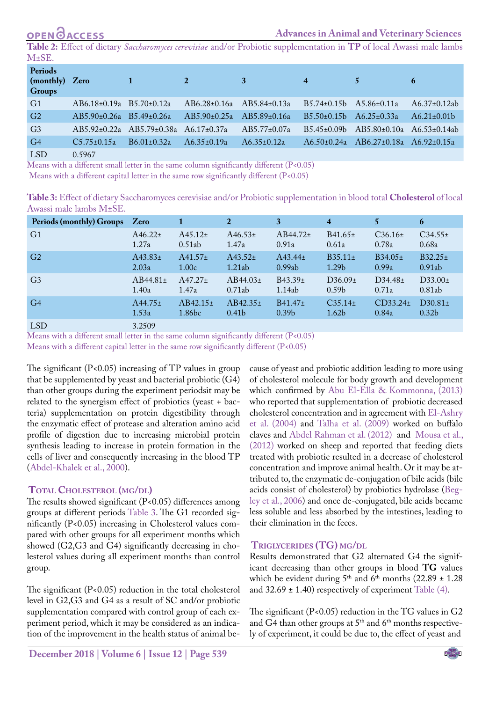# **OPEN GACCESS**

<span id="page-2-0"></span>**Table 2:** Effect of dietary *Saccharomyces cerevisiae* and/or Probiotic supplementation in **TP** of local Awassi male lambs M±SE.

| Periods<br>(monthly) Zero<br><b>Groups</b> |                                      | $\mathbf{A}$ 1 $\mathbf{B}$<br>$\sqrt{2}$               |                           | $\mathbf{3}$       | $\overline{4}$                      | $5 -$                                                 | 6                   |
|--------------------------------------------|--------------------------------------|---------------------------------------------------------|---------------------------|--------------------|-------------------------------------|-------------------------------------------------------|---------------------|
| G1                                         | $AB6.18\pm0.19a \quad B5.70\pm0.12a$ |                                                         | AB6.28±0.16a AB5.84±0.13a |                    | B5.74±0.15b A5.86±0.11a             |                                                       | $A6.37 \pm 0.12$ ab |
| G <sub>2</sub>                             | $AB5.90\pm0.26a$ B5.49 $\pm$ 0.26a   |                                                         | AB5.90±0.25a AB5.89±0.16a |                    | $B5.50\pm0.15b \quad A6.25\pm0.33a$ |                                                       | $A6.21 \pm 0.01b$   |
| G <sub>3</sub>                             |                                      | $AB5.92 \pm 0.22a$ $AB5.79 \pm 0.38a$ $A6.17 \pm 0.37a$ |                           | $AB5.77 \pm 0.07a$ |                                     | $B5.45\pm0.09b$ AB5.80 $\pm$ 0.10a A6.53 $\pm$ 0.14ab |                     |
| G <sub>4</sub>                             | $C5.75 \pm 0.15a$                    | $B6.01 \pm 0.32a$                                       | $A6.35\pm0.19a$           | $A6.35 \pm 0.12a$  |                                     | $A6.50\pm0.24a$ $AB6.27\pm0.18a$ $A6.92\pm0.15a$      |                     |
| $T \cap T$                                 | $\sim$ $\sim$ $\sim$ $\sim$          |                                                         |                           |                    |                                     |                                                       |                     |

LSD 0.5967

Means with a different small letter in the same column significantly different (P<0.05)

Means with a different capital letter in the same row significantly different (P<0.05)

<span id="page-2-1"></span>**Table 3:** Effect of dietary Saccharomyces cerevisiae and/or Probiotic supplementation in blood total **Cholesterol** of local Awassi male lambs M±SE.

| Periods (monthly) Groups | Zero          |               | $\mathbf{2}$      | 3                 | $\overline{4}$      | 5            | 6                 |
|--------------------------|---------------|---------------|-------------------|-------------------|---------------------|--------------|-------------------|
| G <sub>1</sub>           | $A46.22 \pm$  | $A45.12+$     | $A46.53\pm$       | $AB44.72 \pm$     | $B41.65 \pm$        | $C36.16\pm$  | $C34.55+$         |
|                          | 1.27a         | 0.51ab        | 1.47a             | 0.91a             | 0.61a               | 0.78a        | 0.68a             |
| G <sub>2</sub>           | $A43.83\pm$   | $A41.57+$     | $A43.52+$         | $A43.44 \pm$      | $B35.11 \pm$        | $B34.05\pm$  | $B32.25 \pm$      |
|                          | 2.03a         | 1.00c         | 1.21ab            | 0.99ab            | 1.29 <sub>b</sub>   | 0.99a        | 0.91ab            |
| G <sub>3</sub>           | $AB44.81 \pm$ | $A47.27 \pm$  | $AB44.03\pm$      | $B43.39+$         | D36.09 <sub>±</sub> | $D34.48\pm$  | $D33.00\pm$       |
|                          | 1.40a         | 1.47a         | 0.71ab            | 1.14ab            | 0.59 <sub>b</sub>   | 0.71a        | 0.81ab            |
| G <sub>4</sub>           | $A44.75 \pm$  | $AB42.15 \pm$ | $AB42.35\pm$      | $B41.47 \pm$      | $C35.14 \pm$        | $CD33.24\pm$ | $D30.81 \pm$      |
|                          | 1.53a         | 1.86bc        | 0.41 <sub>b</sub> | 0.39 <sub>b</sub> | 1.62 <sub>b</sub>   | 0.84a        | 0.32 <sub>b</sub> |
| LSD <sub>1</sub>         | 3.2509        |               |                   |                   |                     |              |                   |

Means with a different small letter in the same column significantly different  $(P<0.05)$ 

Means with a different capital letter in the same row significantly different (P<0.05)

The significant  $(P<0.05)$  increasing of TP values in group that be supplemented by yeast and bacterial probiotic (G4) than other groups during the experiment periodsit may be related to the synergism effect of probiotics (yeast + bacteria) supplementation on protein digestibility through the enzymatic effect of protease and alteration amino acid profile of digestion due to increasing microbial protein synthesis leading to increase in protein formation in the cells of liver and consequently increasing in the blood TP ([Abdel-Khalek et al., 2000\)](#page-3-7).

#### **Total Cholesterol (mg/dl)**

The results showed significant (P<0.05) differences among groups at different periods [Table 3.](#page-2-1) The G1 recorded significantly (P<0.05) increasing in Cholesterol values compared with other groups for all experiment months which showed (G2,G3 and G4) significantly decreasing in cholesterol values during all experiment months than control group.

The significant (P<0.05) reduction in the total cholesterol level in G2,G3 and G4 as a result of SC and/or probiotic supplementation compared with control group of each experiment period, which it may be considered as an indication of the improvement in the health status of animal be-

**December 2018 | Volume 6 | Issue 12 | Page 539**

cause of yeast and probiotic addition leading to more using of cholesterol molecule for body growth and development which confirmed by [Abu El-Ella & Kommonna, \(2013\)](#page-3-1)  who reported that supplementation of probiotic decreased cholesterol concentration and in agreement with [El-Ashry](#page-3-8)  [et al. \(2004\)](#page-3-8) and [Talha et al. \(2009\)](#page-4-8) worked on buffalo claves and [Abdel Rahman et al. \(2012\)](#page-3-9) and [Mousa et al.,](#page-4-4)  [\(2012\)](#page-4-4) worked on sheep and reported that feeding diets treated with probiotic resulted in a decrease of cholesterol concentration and improve animal health. Or it may be attributed to, the enzymatic de-conjugation of bile acids (bile acids consist of cholesterol) by probiotics hydrolase ([Beg](#page-3-10)[ley et al., 2006\)](#page-3-10) and once de-conjugated, bile acids became less soluble and less absorbed by the intestines, leading to their elimination in the feces.

### **Triglycerides (TG) mg/dl**

Results demonstrated that G2 alternated G4 the significant decreasing than other groups in blood **TG** values which be evident during  $5<sup>th</sup>$  and  $6<sup>th</sup>$  months (22.89  $\pm$  1.28 and  $32.69 \pm 1.40$ ) respectively of experiment [Table \(4\)](#page-3-11).

The significant  $(P<0.05)$  reduction in the TG values in G2 and G4 than other groups at  $5<sup>th</sup>$  and  $6<sup>th</sup>$  months respectively of experiment, it could be due to, the effect of yeast and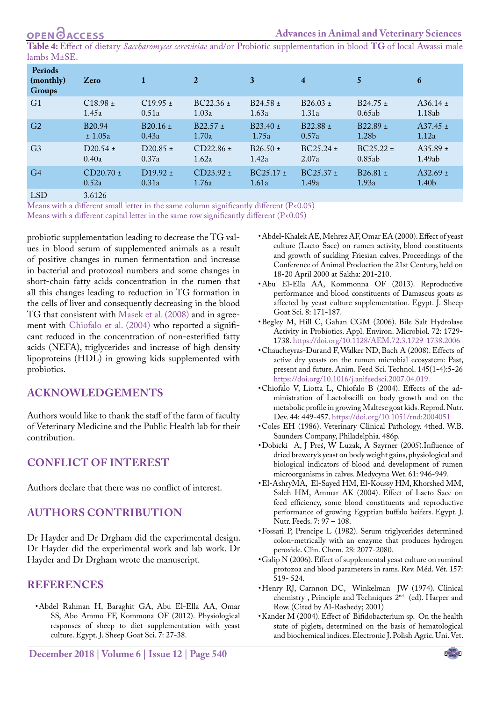<span id="page-3-11"></span>**Table 4:** Effect of dietary *Saccharomyces cerevisiae* and/or Probiotic supplementation in blood **TG** of local Awassi male lambs M±SE.

| Periods<br>(monthly)<br><b>Groups</b> | Zero                        | 1            | $\overline{2}$ | 3             | $\overline{\mathbf{4}}$ |               | 6            |
|---------------------------------------|-----------------------------|--------------|----------------|---------------|-------------------------|---------------|--------------|
| G <sub>1</sub>                        | $C18.98 \pm$                | $C19.95 \pm$ | $BC22.36 \pm$  | $B24.58 \pm$  | $B26.03 \pm$            | $B24.75 \pm$  | $A36.14 \pm$ |
|                                       | 1.45a                       | 0.51a        | 1.03a          | 1.63a         | 1.31a                   | 0.65ab        | 1.18ab       |
| G <sub>2</sub>                        | B <sub>20.94</sub>          | $B20.16 \pm$ | $B22.57 \pm$   | $B23.40 \pm$  | $B22.88 \pm$            | $B22.89 \pm$  | $A37.45 \pm$ |
|                                       | ± 1.05a                     | 0.43a        | 1.70a          | 1.75a         | 0.57a                   | 1.28b         | 1.12a        |
| G <sub>3</sub>                        | $D20.54 \pm$                | $D20.85 \pm$ | $CD22.86 \pm$  | $B26.50 \pm$  | $BC25.24 \pm$           | $BC25.22 \pm$ | $A35.89 \pm$ |
|                                       | 0.40a                       | 0.37a        | 1.62a          | 1.42a         | 2.07a                   | 0.85ab        | 1.49ab       |
| G <sub>4</sub>                        | $CD20.70 \pm$               | $D19.92 \pm$ | $CD23.92 \pm$  | $BC25.17 \pm$ | $BC25.37 \pm$           | $B26.81 \pm$  | $A32.69 \pm$ |
|                                       | 0.52a                       | 0.31a        | 1.76a          | 1.61a         | 1.49a                   | 1.93a         | 1.40b        |
| $\tau$ $\sim$                         | $\sim$ $\sim$ $\sim$ $\sim$ |              |                |               |                         |               |              |

LSD 3.6126

Means with a different small letter in the same column significantly different (P<0.05)

Means with a different capital letter in the same row significantly different (P<0.05)

probiotic supplementation leading to decrease the TG values in blood serum of supplemented animals as a result of positive changes in rumen fermentation and increase in bacterial and protozoal numbers and some changes in short-chain fatty acids concentration in the rumen that all this changes leading to reduction in TG formation in the cells of liver and consequently decreasing in the blood TG that consistent with Masek et al. (2008) and in agreement with [Chiofalo et al. \(2004\)](#page-3-12) who reported a significant reduced in the concentration of non-esterified fatty acids (NEFA), triglycerides and increase of high density lipoproteins (HDL) in growing kids supplemented with probiotics.

# **Acknowledgements**

Authors would like to thank the staff of the farm of faculty of Veterinary Medicine and the Public Health lab for their contribution.

# **Conflict of Interest**

Authors declare that there was no conflict of interest.

### **Authors Contribution**

Dr Hayder and Dr Drgham did the experimental design. Dr Hayder did the experimental work and lab work. Dr Hayder and Dr Drgham wrote the manuscript.

### **References**

<span id="page-3-9"></span>• Abdel Rahman H, Baraghit GA, Abu El-Ella AA, Omar SS, Abo Ammo FF, Kommona OF (2012). Physiological responses of sheep to diet supplementation with yeast culture. Egypt. J. Sheep Goat Sci. 7: 27-38.

- <span id="page-3-7"></span>• Abdel-Khalek AE, Mehrez AF, Omar EA (2000). Effect of yeast culture (Lacto-Sacc) on rumen activity, blood constituents and growth of suckling Friesian calves. Proceedings of the Conference of Animal Production the 21st Century, held on 18-20 April 2000 at Sakha: 201-210.
- <span id="page-3-1"></span>• Abu El-Ella AA, Kommonna OF (2013). Reproductive performance and blood constituents of Damascus goats as affected by yeast culture supplementation. Egypt. J. Sheep Goat Sci. 8: 171-187.
- <span id="page-3-10"></span>• Begley M, Hill C, Gahan CGM (2006). Bile Salt Hydrolase Activity in Probiotics. Appl. Environ. Microbiol. 72: 1729- 1738. [https://doi.org/10.1128/AEM.72.3.1729-1738.2006](https://doi.org/10.1128/AEM.72.3.1729-1738.2006 )
- <span id="page-3-0"></span>• Chaucheyras-Durand F, Walker ND, Bach A (2008). Effects of active dry yeasts on the rumen microbial ecosystem: Past, present and future. Anim. Feed Sci. Technol. 145(1-4):5-26 [https://doi.org/10.1016/j.anifeedsci.2007.04.019.](https://doi.org/10.1016/j.anifeedsci.2007.04.019. )
- <span id="page-3-12"></span>• Chiofalo V, Liotta L, Chiofalo B (2004). Effects of the administration of Lactobacilli on body growth and on the metabolic profile in growing Maltese goat kids. Reprod. Nutr. Dev. 44: 449-457.<https://doi.org/10.1051/rnd:2004051>
- <span id="page-3-3"></span>• Coles EH (1986). Veterinary Clinical Pathology. 4thed. W.B. Saunders Company, Philadelphia. 486p.
- • Dobicki A, J Preś, W Luzak, A Szyrner (2005).Influence of dried brewery's yeast on body weight gains, physiological and biological indicators of blood and development of rumen microorganisms in calves. Medycyna Wet. 61: 946-949.
- <span id="page-3-8"></span>• El-AshryMA, El-Sayed HM, El-Koussy HM, Khorshed MM, Saleh HM, Ammar AK (2004). Effect of Lacto-Sacc on feed efficiency, some blood constituents and reproductive performance of growing Egyptian buffalo heifers. Egypt. J. Nutr. Feeds. 7: 97 – 108.
- <span id="page-3-5"></span>• Fossati P, Prencipe L (1982). Serum triglycerides determined colon-metrically with an enzyme that produces hydrogen peroxide. Clin. Chem. 28: 2077-2080.
- <span id="page-3-2"></span>• Galip N (2006). Effect of supplemental yeast culture on ruminal protozoa and blood parameters in rams. Rev. Méd. Vét. 157: 519- 524.
- <span id="page-3-4"></span>• Henry RJ, Carnnon DC, Winkelman JW (1974). Clinical chemistry , Principle and Techniques  $2^{\mathrm{nd}}\;$  (ed). Harper and Row. (Cited by Al-Rashedy; 2001)
- <span id="page-3-6"></span>• Kander M (2004). Effect of Bifidobacterium sp. On the health state of piglets, determined on the basis of hematological and biochemical indices. Electronic J. Polish Agric. Uni. Vet.